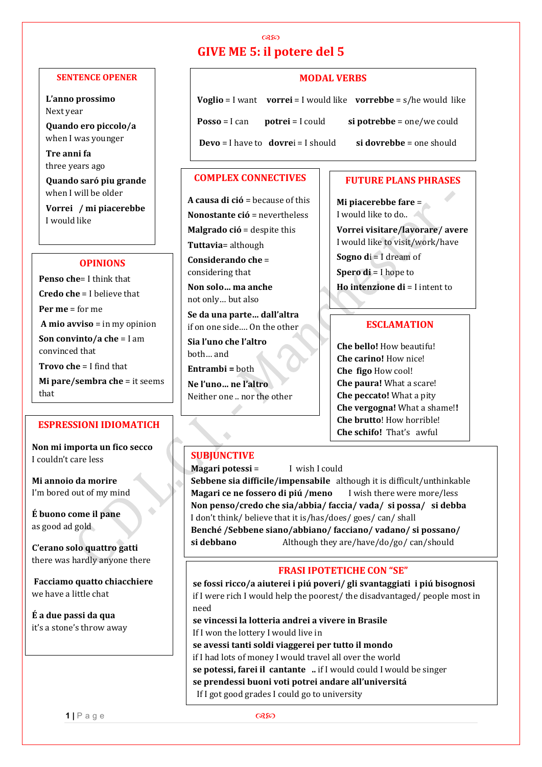#### **SENTENCE OPENER**

**L'anno prossimo** Next year

**Quando ero piccolo/a** when I was younger

**Tre anni fa** three years ago

**Quando saró piu grande** when I will be older

**Vorrei / mi piacerebbe** I would like

#### **OPINIONS**

**Penso che**= I think that **Credo che** = I believe that **Per me** = for me **A mio avviso** = in my opinion **Son convinto/a che** = I am convinced that **Trovo che** = I find that

**Mi pare/sembra che** = it seems that

## **ESPRESSIONI IDIOMATICH**

**Non mi importa un fico secco** I couldn't care less

**Mi annoio da morire** I'm bored out of my mind

**É buono come il pane** as good ad gold

**C'erano solo quattro gatti** there was hardly anyone there

 $\bullet$ 

**Facciamo quatto chiacchiere**  we have a little chat

**É a due passi da qua**  it's a stone's throw away

# **GIVE ME 5: il potere del 5**

റുജ

### **MODAL VERBS**

**Voglio** = I want **vorrei** = I would like **vorrebbe** = s/he would like **Posso** = I can **potrei** = I could **si potrebbe** = one/we could **Devo** = I have to **dovre**i = I should **si dovrebbe** = one should

#### **COMPLEX CONNECTIVES**

**A causa di ció** = because of this **Nonostante ció** = nevertheless **Malgrado ció** = despite this **Tuttavia**= although **Considerando che** = considering that **Non solo… ma anche** not only… but also **Se da una parte… dall'altra**  if on one side…. On the other **Sia l'uno che l'altro** 

both… and **Entrambi =** both

**Ne l'uno… ne l'altro**  Neither one .. nor the other

#### **FUTURE PLANS PHRASES**

**Mi piacerebbe fare** = I would like to do..

**Vorrei visitare/lavorare/ avere**  I would like to visit/work/have **Sogno d**i = I dream of **Spero di** = I hope to **Ho intenzione di** = I intent to

#### **ESCLAMATION**

**Che bello!** How beautifu! **Che carino!** How nice! **Che figo** How cool! **Che paura!** What a scare! **Che peccato!** What a pity **Che vergogna!** What a shame!**! Che brutto**! How horrible! **Che schifo!** That's awful

## **SUBJUNCTIVE**

 $\triangle$ 

#### **Magari potessi** = I wish I could

**Sebbene sia difficile/impensabile** although it is difficult/unthinkable **Magari ce ne fossero di piú /meno** I wish there were more/less **Non penso/credo che sia/abbia/ faccia/ vada/ si possa/ si debba**  I don't think/ believe that it is/has/does/ goes/ can/ shall **Benché /Sebbene siano/abbiano/ facciano/ vadano/ si possano/ si debbano** Although they are/have/do/go/ can/should

#### **FRASI IPOTETICHE CON "SE"**

**se fossi ricco/a aiuterei i piú poveri/ gli svantaggiati i piú bisognosi**  if I were rich I would help the poorest/ the disadvantaged/ people most in need

**se vincessi la lotteria andrei a vivere in Brasile**  If I won the lottery I would live in **se avessi tanti soldi viaggerei per tutto il mondo**  if I had lots of money I would travel all over the world **se potessi, farei il cantante ..** if I would could I would be singer **se prendessi buoni voti potrei andare all'universitá** If I got good grades I could go to university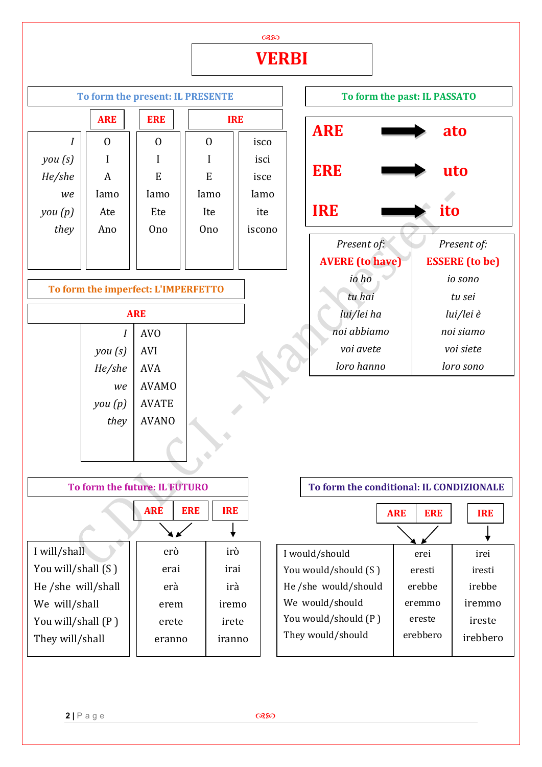

**2 |** Page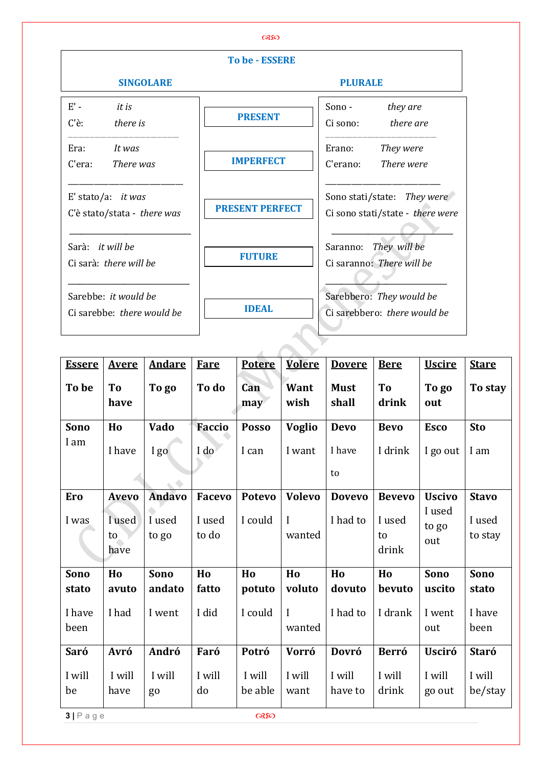|                                                    | <b>To be - ESSERE</b>  |                                                                 |  |  |  |
|----------------------------------------------------|------------------------|-----------------------------------------------------------------|--|--|--|
| <b>SINGOLARE</b>                                   |                        | <b>PLURALE</b>                                                  |  |  |  |
| $E'$ -<br>it is<br>C'è:<br>there is                | <b>PRESENT</b>         | Sono-<br>they are<br>Ci sono:<br>there are                      |  |  |  |
| Era:<br>It was<br>C'era:<br>There was              | <b>IMPERFECT</b>       | Erano:<br>They were<br>C'erano:<br>There were                   |  |  |  |
| E' stato/a: it was<br>C'è stato/stata - there was  | <b>PRESENT PERFECT</b> | Sono stati/state: They were<br>Ci sono stati/state - there were |  |  |  |
| Sarà: it will be<br>Ci sarà: there will be         | <b>FUTURE</b>          | Saranno: They will be<br>Ci saranno: There will be              |  |  |  |
| Sarebbe: it would be<br>Ci sarebbe: there would be | <b>IDEAL</b>           | Sarebbero: They would be<br>Ci sarebbero: there would be        |  |  |  |

| <b>Essere</b>  | <b>Avere</b>         | <b>Andare</b>   | <b>Fare</b>     | <b>Potere</b>     | <b>Volere</b>      | <b>Dovere</b>        | <b>Bere</b>           | <b>Uscire</b>          | <b>Stare</b>      |
|----------------|----------------------|-----------------|-----------------|-------------------|--------------------|----------------------|-----------------------|------------------------|-------------------|
| To be          | To<br>have           | To go           | To do           | Can<br>may        | Want<br>wish       | <b>Must</b><br>shall | To<br>drink           | To go<br>out           | To stay           |
| Sono           | Ho                   | Vado            | <b>Faccio</b>   | <b>Posso</b>      | <b>Voglio</b>      | <b>Devo</b>          | <b>Bevo</b>           | <b>Esco</b>            | <b>Sto</b>        |
| I am           | I have               | I go            | I do            | I can             | I want             | I have               | I drink               | I go out               | I am              |
|                |                      |                 |                 |                   |                    | to                   |                       |                        |                   |
| <b>Ero</b>     | <b>Avevo</b>         | <b>Andavo</b>   | <b>Facevo</b>   | <b>Potevo</b>     | <b>Volevo</b>      | <b>Dovevo</b>        | <b>Bevevo</b>         | <b>Uscivo</b>          | <b>Stavo</b>      |
| I was          | I used<br>to<br>have | I used<br>to go | I used<br>to do | I could           | $\bf{I}$<br>wanted | I had to             | I used<br>to<br>drink | I used<br>to go<br>out | I used<br>to stay |
| Sono           | Ho                   | Sono            | Ho              | Ho                | Ho                 | Ho                   | Ho                    | Sono                   | Sono              |
| stato          | avuto                | andato          | fatto           | potuto            | voluto             | dovuto               | bevuto                | uscito                 | stato             |
| I have<br>been | I had                | I went          | I did           | I could           | I<br>wanted        | I had to             | I drank               | I went<br>out          | I have<br>been    |
| Saró           | Avró                 | Andró           | Faró            | Potró             | <b>Vorró</b>       | Dovró                | <b>Berró</b>          | <b>Usciró</b>          | <b>Staró</b>      |
| I will<br>be   | I will<br>have       | I will<br>go    | I will<br>do    | I will<br>be able | I will<br>want     | I will<br>have to    | I will<br>drink       | I will<br>go out       | I will<br>be/stay |
| $3   P$ a g e  |                      |                 |                 | @32               |                    |                      |                       |                        |                   |